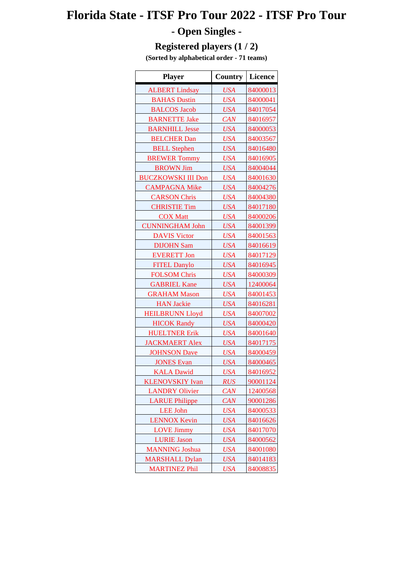# **Florida State - ITSF Pro Tour 2022 - ITSF Pro Tour**

## **- Open Singles -**

### **Registered players (1 / 2)**

**(Sorted by alphabetical order - 71 teams)**

| <b>Player</b>             | Country    | Licence  |
|---------------------------|------------|----------|
| <b>ALBERT Lindsay</b>     | <b>USA</b> | 84000013 |
| <b>BAHAS Dustin</b>       | <b>USA</b> | 84000041 |
| <b>BALCOS Jacob</b>       | <b>USA</b> | 84017054 |
| <b>BARNETTE Jake</b>      | CAN        | 84016957 |
| <b>BARNHILL Jesse</b>     | <b>USA</b> | 84000053 |
| <b>BELCHER Dan</b>        | <b>USA</b> | 84003567 |
| <b>BELL Stephen</b>       | <b>USA</b> | 84016480 |
| <b>BREWER Tommy</b>       | <b>USA</b> | 84016905 |
| <b>BROWN Jim</b>          | <b>USA</b> | 84004044 |
| <b>BUCZKOWSKI III Don</b> | <b>USA</b> | 84001630 |
| <b>CAMPAGNA Mike</b>      | <b>USA</b> | 84004276 |
| <b>CARSON Chris</b>       | <b>USA</b> | 84004380 |
| <b>CHRISTIE Tim</b>       | <b>USA</b> | 84017180 |
| <b>COX Matt</b>           | <b>USA</b> | 84000206 |
| <b>CUNNINGHAM John</b>    | <b>USA</b> | 84001399 |
| <b>DAVIS Victor</b>       | <b>USA</b> | 84001563 |
| <b>DIJOHN Sam</b>         | <b>USA</b> | 84016619 |
| <b>EVERETT Jon</b>        | <b>USA</b> | 84017129 |
| <b>FITEL Danylo</b>       | <b>USA</b> | 84016945 |
| <b>FOLSOM Chris</b>       | <b>USA</b> | 84000309 |
| <b>GABRIEL Kane</b>       | <b>USA</b> | 12400064 |
| <b>GRAHAM Mason</b>       | <b>USA</b> | 84001453 |
| <b>HAN Jackie</b>         | <b>USA</b> | 84016281 |
| <b>HEILBRUNN Lloyd</b>    | <b>USA</b> | 84007002 |
| <b>HICOK Randy</b>        | <b>USA</b> | 84000420 |
| <b>HUELTNER Erik</b>      | <b>USA</b> | 84001640 |
| <b>JACKMAERT</b> Alex     | <b>USA</b> | 84017175 |
| <b>JOHNSON</b> Dave       | <b>USA</b> | 84000459 |
| <b>JONES Evan</b>         | <b>USA</b> | 84000465 |
| <b>KALA Dawid</b>         | <b>USA</b> | 84016952 |
| <b>KLENOVSKIY Ivan</b>    | <b>RUS</b> | 90001124 |
| <b>LANDRY Olivier</b>     | CAN        | 12400568 |
| <b>LARUE Philippe</b>     | CAN        | 90001286 |
| <b>LEE</b> John           | <b>USA</b> | 84000533 |
| <b>LENNOX Kevin</b>       | <b>USA</b> | 84016626 |
| <b>LOVE Jimmy</b>         | <b>USA</b> | 84017070 |
| <b>LURIE</b> Jason        | USA        | 84000562 |
| <b>MANNING</b> Joshua     | <b>USA</b> | 84001080 |
| <b>MARSHALL Dylan</b>     | <b>USA</b> | 84014183 |
| <b>MARTINEZ Phil</b>      | <b>USA</b> | 84008835 |